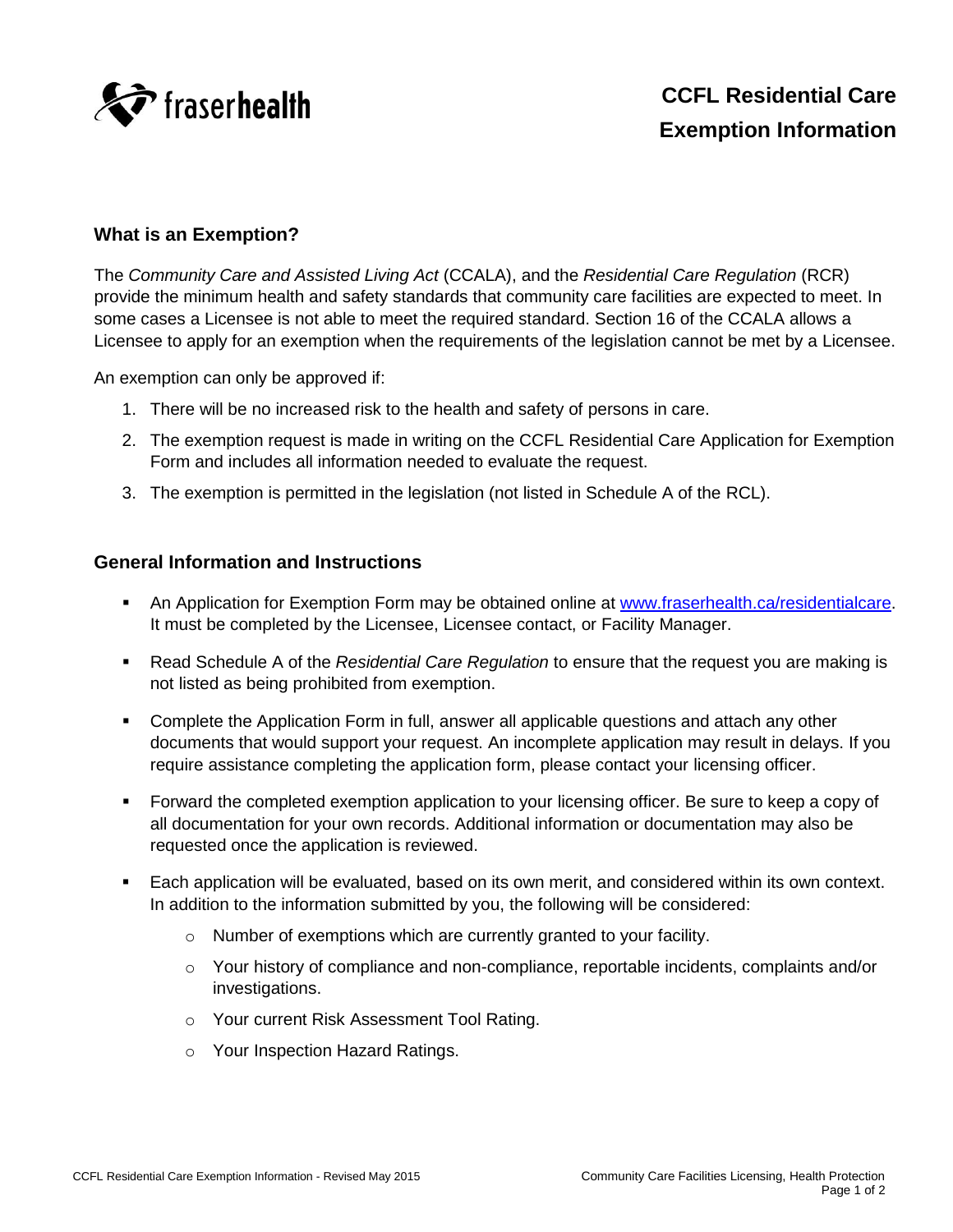

## **What is an Exemption?**

The *Community Care and Assisted Living Act* (CCALA), and the *Residential Care Regulation* (RCR) provide the minimum health and safety standards that community care facilities are expected to meet. In some cases a Licensee is not able to meet the required standard. Section 16 of the CCALA allows a Licensee to apply for an exemption when the requirements of the legislation cannot be met by a Licensee.

An exemption can only be approved if:

- 1. There will be no increased risk to the health and safety of persons in care.
- 2. The exemption request is made in writing on the CCFL Residential Care Application for Exemption Form and includes all information needed to evaluate the request.
- 3. The exemption is permitted in the legislation (not listed in Schedule A of the RCL).

## **General Information and Instructions**

- An Application for Exemption Form may be obtained online at [www.fraserhealth.ca/residentialcare.](http://www.fraserhealth.ca/residentialcare) It must be completed by the Licensee, Licensee contact, or Facility Manager.
- Read Schedule A of the *Residential Care Regulation* to ensure that the request you are making is not listed as being prohibited from exemption.
- Complete the Application Form in full, answer all applicable questions and attach any other documents that would support your request. An incomplete application may result in delays. If you require assistance completing the application form, please contact your licensing officer.
- Forward the completed exemption application to your licensing officer. Be sure to keep a copy of all documentation for your own records. Additional information or documentation may also be requested once the application is reviewed.
- Each application will be evaluated, based on its own merit, and considered within its own context. In addition to the information submitted by you, the following will be considered:
	- o Number of exemptions which are currently granted to your facility.
	- o Your history of compliance and non-compliance, reportable incidents, complaints and/or investigations.
	- o Your current Risk Assessment Tool Rating.
	- o Your Inspection Hazard Ratings.